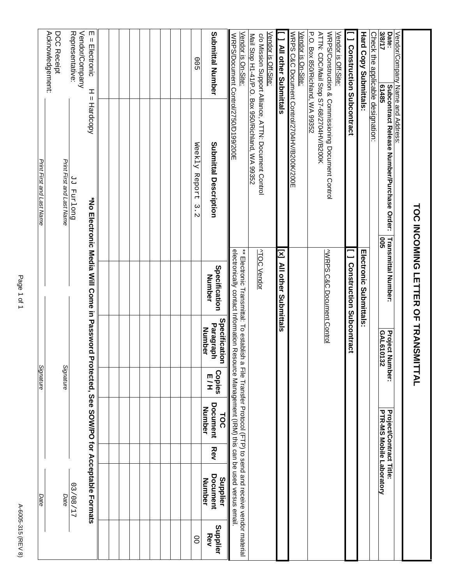| J.<br>ч | ı |
|---------|---|
|         |   |
|         |   |
|         |   |
|         |   |
|         |   |
|         |   |
|         |   |

|                                                                                                  |                                                                                                         | <b>TOC INCOMING LETTER OF TRANSM</b>                                                                                                                                                                                                         |                                             | ITTAL                        |                                                                   |            |                                             |                 |
|--------------------------------------------------------------------------------------------------|---------------------------------------------------------------------------------------------------------|----------------------------------------------------------------------------------------------------------------------------------------------------------------------------------------------------------------------------------------------|---------------------------------------------|------------------------------|-------------------------------------------------------------------|------------|---------------------------------------------|-----------------|
| 3/8/17<br>Date:<br>Vendor/Company Name and Address:<br>61485                                     | Subcontract Release Number/Purchase Order:<br><b>902</b>                                                | Transmittal Number:                                                                                                                                                                                                                          | <b>Project Number:</b><br>GAL610132         |                              | <b>Project/Contract Title:</b><br><b>PTR-MS Mobile Laboratory</b> |            |                                             |                 |
| Check the applicable designation:                                                                |                                                                                                         |                                                                                                                                                                                                                                              |                                             |                              |                                                                   |            |                                             |                 |
| <b>Hard Copy Submittals</b>                                                                      |                                                                                                         | <b>Information Submittals:</b>                                                                                                                                                                                                               |                                             |                              |                                                                   |            |                                             |                 |
| [ ] Construction Subcontract                                                                     |                                                                                                         | <b>J</b> Construction Subcontract                                                                                                                                                                                                            |                                             |                              |                                                                   |            |                                             |                 |
| P.O. Box 850/Richland, WA 99352<br>ATTN: CDC/Mail Stop S7-68/2704HV/B200K<br>Vendor is Off-Site: | WRPS/Construction & Commissioning Document Control                                                      | <b>WRPS C&amp;C Document Control</b>                                                                                                                                                                                                         |                                             |                              |                                                                   |            |                                             |                 |
| Vendor is On-Site:                                                                               | WRPS C&C Document Control/2704HV/B200K/200E                                                             |                                                                                                                                                                                                                                              |                                             |                              |                                                                   |            |                                             |                 |
| [ ] All other Submittals                                                                         |                                                                                                         | [x] All other Submittals                                                                                                                                                                                                                     |                                             |                              |                                                                   |            |                                             |                 |
| Vendor is Off-Site:                                                                              |                                                                                                         |                                                                                                                                                                                                                                              |                                             |                              |                                                                   |            |                                             |                 |
|                                                                                                  | Mail Stop H1-41/P.O. Box 950/Richland, WA 99352<br>c/o Mission Support Alliance, ATTN: Document Control | <b>ATOC Vendor</b>                                                                                                                                                                                                                           |                                             |                              |                                                                   |            |                                             |                 |
| Vendor is On-Site:<br>WRPS/Document Control/2750/D199/200E                                       |                                                                                                         | electronically contact Information Resource Management (IRM) this can be used versus email.<br>$**$ Flectronic Transmittifical of the sequence of the Irle Trusner Protocol (CFT-D-D) to sep dead and receive xep determination $\mathbf{r}$ |                                             |                              |                                                                   |            |                                             |                 |
| Submittal Number                                                                                 | Submittal Description                                                                                   | Specification<br><b>Number</b>                                                                                                                                                                                                               | Specification<br>Paragraph<br><b>Number</b> | <b>Copies</b><br>E<br>H<br>H | <b>Document</b><br>Number<br><b>TOC</b>                           | <b>Rev</b> | Document<br>Supplier<br>Number              | Supplier<br>Rev |
| 00 <sub>2</sub>                                                                                  | Weekly<br>Report<br>$\overset{\omega}{.}$<br>$\mathcal{D}$                                              |                                                                                                                                                                                                                                              |                                             |                              |                                                                   |            |                                             | $\infty$        |
|                                                                                                  |                                                                                                         |                                                                                                                                                                                                                                              |                                             |                              |                                                                   |            |                                             |                 |
|                                                                                                  |                                                                                                         |                                                                                                                                                                                                                                              |                                             |                              |                                                                   |            |                                             |                 |
|                                                                                                  |                                                                                                         |                                                                                                                                                                                                                                              |                                             |                              |                                                                   |            |                                             |                 |
|                                                                                                  |                                                                                                         |                                                                                                                                                                                                                                              |                                             |                              |                                                                   |            |                                             |                 |
|                                                                                                  |                                                                                                         |                                                                                                                                                                                                                                              |                                             |                              |                                                                   |            |                                             |                 |
| $E = E$ lectronic<br>H<br>Ш                                                                      | Hardcopy                                                                                                | *No Electronic Media Will Come in Password Pr                                                                                                                                                                                                |                                             |                              |                                                                   |            | rotected, See SOW/PO for Acceptable Formats |                 |
| Representative:<br>Vendor/Company                                                                | Duo Lund PP                                                                                             |                                                                                                                                                                                                                                              |                                             |                              |                                                                   |            | 12/80/27                                    |                 |
| Acknowledgement:<br>DCC Receipt                                                                  | Print First and Last Name                                                                               |                                                                                                                                                                                                                                              |                                             | Signature                    |                                                                   |            | Date                                        |                 |
|                                                                                                  | Print First and Last Name                                                                               |                                                                                                                                                                                                                                              |                                             | Signature                    |                                                                   |            | Date                                        |                 |
|                                                                                                  |                                                                                                         |                                                                                                                                                                                                                                              |                                             |                              |                                                                   |            |                                             |                 |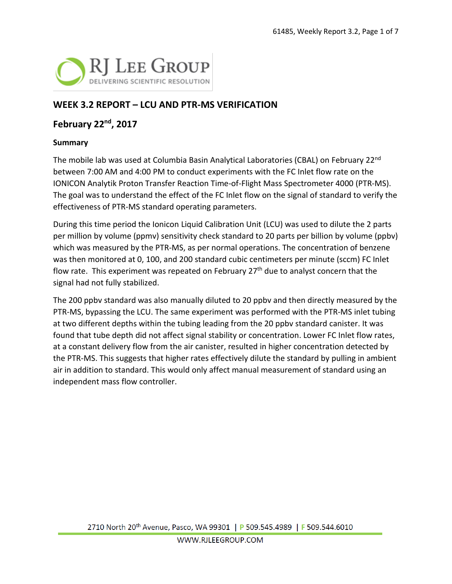

### **WEEK 3.2 REPORT – LCU AND PTR-MS VERIFICATION**

### **February 22nd, 2017**

#### **Summary**

The mobile lab was used at Columbia Basin Analytical Laboratories (CBAL) on February 22nd between 7:00 AM and 4:00 PM to conduct experiments with the FC Inlet flow rate on the IONICON Analytik Proton Transfer Reaction Time-of-Flight Mass Spectrometer 4000 (PTR-MS). The goal was to understand the effect of the FC Inlet flow on the signal of standard to verify the effectiveness of PTR-MS standard operating parameters.

During this time period the Ionicon Liquid Calibration Unit (LCU) was used to dilute the 2 parts per million by volume (ppmv) sensitivity check standard to 20 parts per billion by volume (ppbv) which was measured by the PTR-MS, as per normal operations. The concentration of benzene was then monitored at 0, 100, and 200 standard cubic centimeters per minute (sccm) FC Inlet flow rate. This experiment was repeated on February 27<sup>th</sup> due to analyst concern that the signal had not fully stabilized.

The 200 ppbv standard was also manually diluted to 20 ppbv and then directly measured by the PTR-MS, bypassing the LCU. The same experiment was performed with the PTR-MS inlet tubing at two different depths within the tubing leading from the 20 ppbv standard canister. It was found that tube depth did not affect signal stability or concentration. Lower FC Inlet flow rates, at a constant delivery flow from the air canister, resulted in higher concentration detected by the PTR-MS. This suggests that higher rates effectively dilute the standard by pulling in ambient air in addition to standard. This would only affect manual measurement of standard using an independent mass flow controller.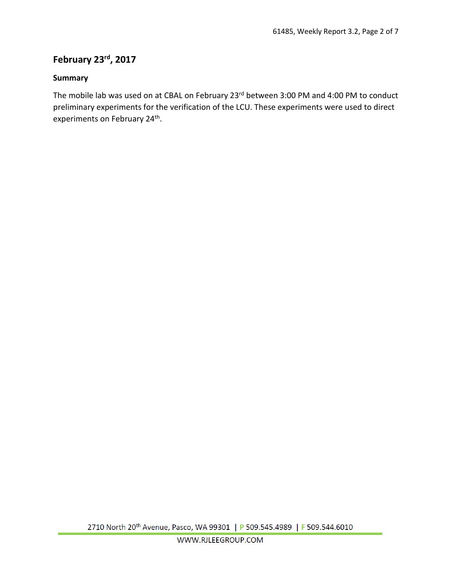# **February 23rd, 2017**

#### **Summary**

The mobile lab was used on at CBAL on February 23<sup>rd</sup> between 3:00 PM and 4:00 PM to conduct preliminary experiments for the verification of the LCU. These experiments were used to direct experiments on February 24<sup>th</sup>.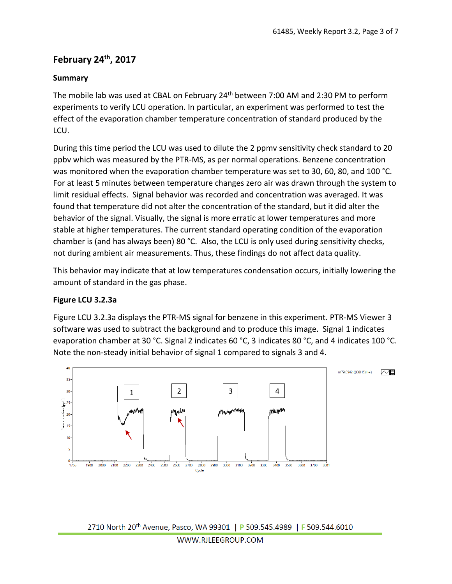## **February 24th, 2017**

#### **Summary**

The mobile lab was used at CBAL on February 24<sup>th</sup> between 7:00 AM and 2:30 PM to perform experiments to verify LCU operation. In particular, an experiment was performed to test the effect of the evaporation chamber temperature concentration of standard produced by the LCU.

During this time period the LCU was used to dilute the 2 ppmv sensitivity check standard to 20 ppbv which was measured by the PTR-MS, as per normal operations. Benzene concentration was monitored when the evaporation chamber temperature was set to 30, 60, 80, and 100 °C. For at least 5 minutes between temperature changes zero air was drawn through the system to limit residual effects. Signal behavior was recorded and concentration was averaged. It was found that temperature did not alter the concentration of the standard, but it did alter the behavior of the signal. Visually, the signal is more erratic at lower temperatures and more stable at higher temperatures. The current standard operating condition of the evaporation chamber is (and has always been) 80 °C. Also, the LCU is only used during sensitivity checks, not during ambient air measurements. Thus, these findings do not affect data quality.

This behavior may indicate that at low temperatures condensation occurs, initially lowering the amount of standard in the gas phase.

#### **Figure LCU 3.2.3a**

Figure LCU 3.2.3a displays the PTR-MS signal for benzene in this experiment. PTR-MS Viewer 3 software was used to subtract the background and to produce this image. Signal 1 indicates evaporation chamber at 30 °C. Signal 2 indicates 60 °C, 3 indicates 80 °C, and 4 indicates 100 °C. Note the non-steady initial behavior of signal 1 compared to signals 3 and 4.

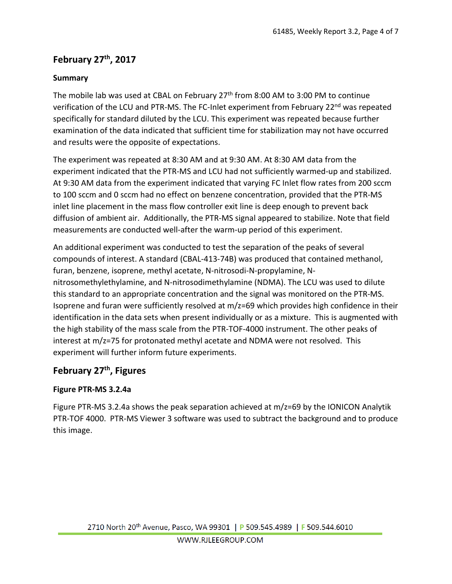# **February 27th, 2017**

### **Summary**

The mobile lab was used at CBAL on February 27<sup>th</sup> from 8:00 AM to 3:00 PM to continue verification of the LCU and PTR-MS. The FC-Inlet experiment from February 22<sup>nd</sup> was repeated specifically for standard diluted by the LCU. This experiment was repeated because further examination of the data indicated that sufficient time for stabilization may not have occurred and results were the opposite of expectations.

The experiment was repeated at 8:30 AM and at 9:30 AM. At 8:30 AM data from the experiment indicated that the PTR-MS and LCU had not sufficiently warmed-up and stabilized. At 9:30 AM data from the experiment indicated that varying FC Inlet flow rates from 200 sccm to 100 sccm and 0 sccm had no effect on benzene concentration, provided that the PTR-MS inlet line placement in the mass flow controller exit line is deep enough to prevent back diffusion of ambient air. Additionally, the PTR-MS signal appeared to stabilize. Note that field measurements are conducted well-after the warm-up period of this experiment.

An additional experiment was conducted to test the separation of the peaks of several compounds of interest. A standard (CBAL-413-74B) was produced that contained methanol, furan, benzene, isoprene, methyl acetate, N-nitrosodi-N-propylamine, Nnitrosomethylethylamine, and N-nitrosodimethylamine (NDMA). The LCU was used to dilute this standard to an appropriate concentration and the signal was monitored on the PTR-MS. Isoprene and furan were sufficiently resolved at m/z=69 which provides high confidence in their identification in the data sets when present individually or as a mixture. This is augmented with the high stability of the mass scale from the PTR-TOF-4000 instrument. The other peaks of interest at m/z=75 for protonated methyl acetate and NDMA were not resolved. This experiment will further inform future experiments.

# **February 27th, Figures**

### **Figure PTR-MS 3.2.4a**

Figure PTR-MS 3.2.4a shows the peak separation achieved at m/z=69 by the IONICON Analytik PTR-TOF 4000. PTR-MS Viewer 3 software was used to subtract the background and to produce this image.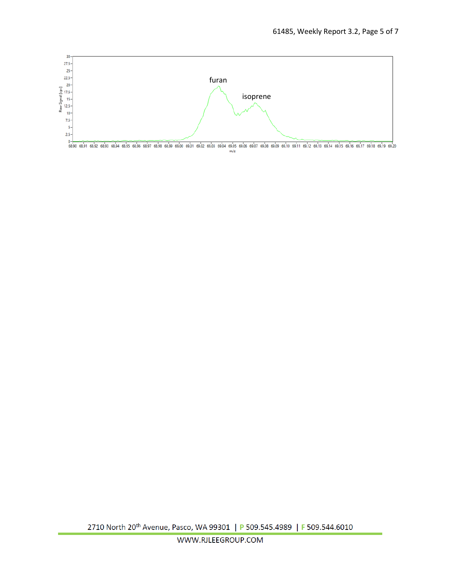

0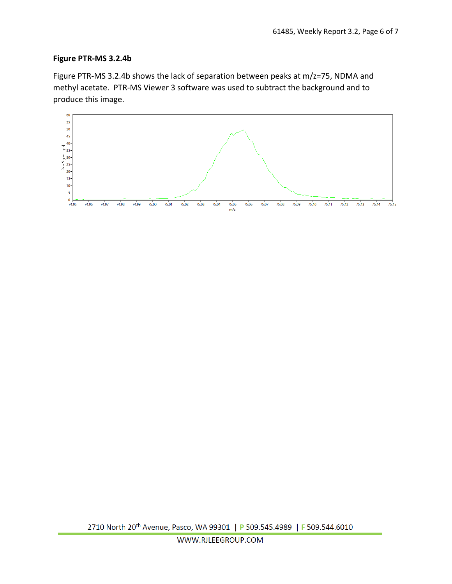#### **Figure PTR-MS 3.2.4b**

Figure PTR-MS 3.2.4b shows the lack of separation between peaks at m/z=75, NDMA and methyl acetate. PTR-MS Viewer 3 software was used to subtract the background and to produce this image.